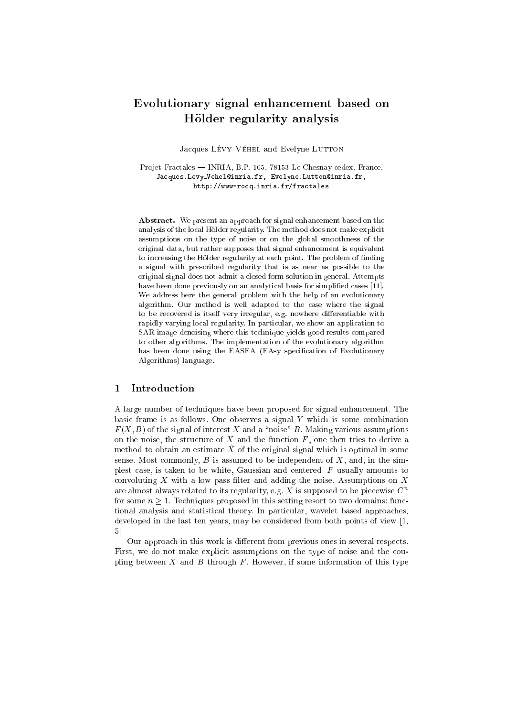# Evolutionary signal enhancement based on Holder regularity analysis

Jacques LÉVY VÉHEL and Evelyne LUTTON

Projet Fractales - INRIA, B.P. 105, 78153 Le Chesnay cedex, France, Jacques.Levy Vehel@inria.fr, Evelyne.Lutton@inria.fr, http://www-rocq.inria.fr/fractales

Abstract. We present an approach for signal enhancement based on the analysis of the local Holder regularity. The method does not make explicit assumptions on the type of noise or on the global smoothness of the original data, but rather supposes that signal enhancement is equivalent to increasing the Hölder regularity at each point. The problem of finding a signal with prescribed regularity that is as near as possible to the original signal does not admit a closed form solution in general. Attempts have been done previously on an analytical basis for simplified cases [11]. We address here the general problem with the help of an evolutionary algorithm. Our method is well adapted to the case where the signal to be recovered is itself very irregular, e.g. nowhere differentiable with rapidly varying local regularity. In particular, we show an application to SAR image denoising where this technique yields good results compared to other algorithms. The implementation of the evolutionary algorithm has been done using the EASEA (EAsy specification of Evolutionary Algorithms) language.

#### $\mathbf{1}$ **Introduction**

A large number of techniques have been proposed for signal enhancement. The basic frame is as follows. One observes a signal Y which is some combination  $F(X, B)$  of the signal of interest X and a "noise" B. Making various assumptions on the noise, the structure of  $X$  and the function  $F$ , one then tries to derive a method to obtain an estimate X of the original signal which is optimal in some sense. Most commonly,  $B$  is assumed to be independent of  $X$ , and, in the simplest case, is taken to be white, Gaussian and centered. F usually amounts to convoluting  $X$  with a low pass filter and adding the noise. Assumptions on  $X$ are almost always related to its regularity, e.g. X is supposed to be piecewise  $C<sup>n</sup>$ for some  $n \geq 1$ . Techniques proposed in this setting resort to two domains: functional analysis and statistical theory. In particular, wavelet based approaches, developed in the last ten years, may be considered from both points of view [1, 5].

Our approach in this work is different from previous ones in several respects. First, we do not make explicit assumptions on the type of noise and the coupling between  $X$  and  $B$  through  $F$ . However, if some information of this type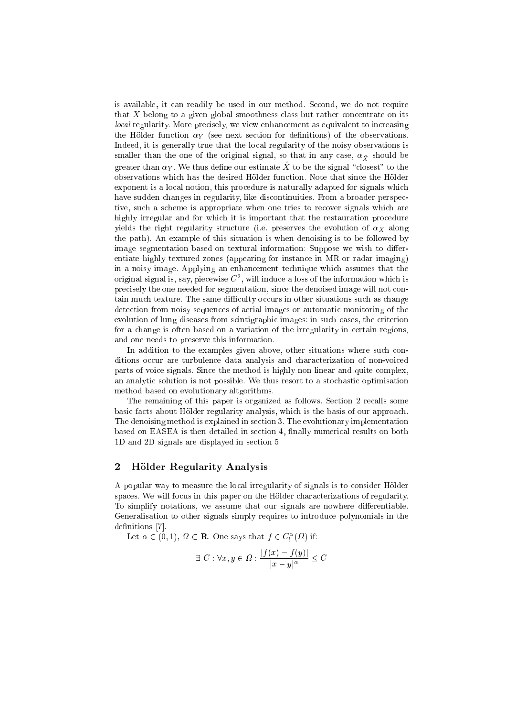is available, it can readily be used in our method. Second, we do not require that X belong to a given global smoothness class but rather concentrate on its local regularity. More precisely, we view enhancement as equivalent to increasing the Hölder function  $\alpha_Y$  (see next section for definitions) of the observations. Indeed, it is generally true that the local regularity of the noisy observations is smaller than the one of the original signal, so that in any case,  $\alpha_{\hat{X}}$  should be greater than  $\alpha_Y$ . We thus define our estimate  $\hat{X}$  to be the signal "closest" to the observations which has the desired Holder function. Note that since the Holder exponent is a local notion, this procedure is naturally adapted for signals which have sudden changes in regularity, like discontinuities. From a broader perspective, such a scheme is appropriate when one tries to recover signals which are highly irregular and for which it is important that the restauration procedure yields the right regularity structure (i.e. preserves the evolution of  $\alpha_X$  along the path). An example of this situation is when denoising is to be followed by image segmentation based on textural information: Suppose we wish to differentiate highly textured zones (appearing for instance in MR or radar imaging) in a noisy image. Applying an enhancement technique which assumes that the original signal is, say, piecewise  $C^2$ , will induce a loss of the information which is precisely the one needed for segmentation, since the denoised image will not contain much texture. The same difficulty occurs in other situations such as change detection from noisy sequences of aerial images or automatic monitoring of the evolution of lung diseases from scintigraphic images: in such cases, the criterion for a change is often based on a variation of the irregularity in certain regions, and one needs to preserve this information.

In addition to the examples given above, other situations where such conditions occur are turbulence data analysis and characterization of non-voiced parts of voice signals. Since the method is highly non linear and quite complex, an analytic solution is not possible. We thus resort to a stochastic optimisation method based on evolutionary altgorithms.

The remaining of this paper is organized as follows. Section 2 recalls some basic facts about Holder regularity analysis, which is the basis of our approach. The denoising method is explained in section 3. The evolutionary implementation based on EASEA is then detailed in section 4, finally numerical results on both 1D and 2D signals are displayed in section 5.

### 2 Hölder Regularity Analysis

A popular way to measure the local irregularity of signals is to consider Holder spaces. We will focus in this paper on the Holder characterizations of regularity. To simplify notations, we assume that our signals are nowhere differentiable. Generalisation to other signals simply requires to introduce polynomials in the definitions [7].

Let  $\alpha \in (0,1)$ ,  $\Omega \subset \mathbf{R}$ . One says that  $f \in C^{\alpha}(\Omega)$  if:

$$
\exists C: \forall x, y \in \Omega: \frac{|f(x) - f(y)|}{|x - y|^{\alpha}} \le C
$$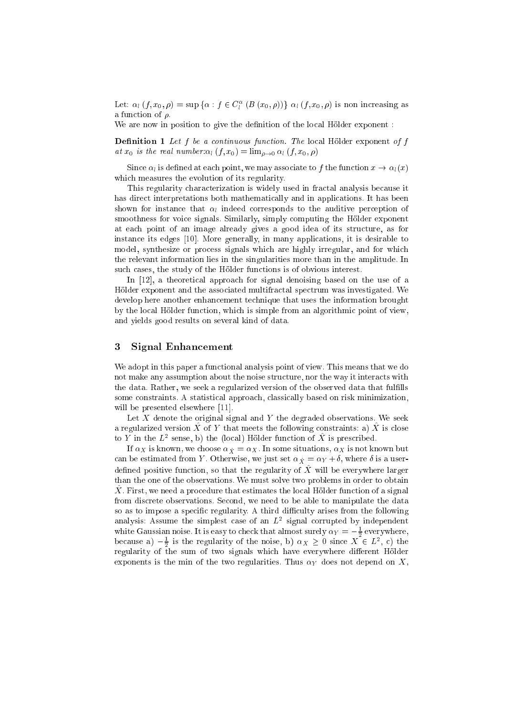Let:  $\alpha_l \left( f , x_0 , \rho \right) = \sup \left\{ \alpha : f \in C_l^{\alpha} \left( B \left( x_0 , \rho \right) \right) \right\} \, \alpha_l \left( f , x_0 , \rho \right)$  is non increasing as a function of  $\rho$ .

We are now in position to give the definition of the local Hölder exponent :

**Definition 1** Let  $f$  be a continuous function. The local Hölder exponent of  $f$ at  $x_0$  is the real number:  $\alpha_l (f, x_0) = \lim_{\rho \to 0} \alpha_l (f, x_0, \rho)$ 

Since  $\alpha_l$  is defined at each point, we may associate to f the function  $x \to \alpha_l(x)$ which measures the evolution of its regularity.

This regularity characterization is widely used in fractal analysis because it has direct interpretations both mathematically and in applications. It has been shown for instance that  $\alpha_l$  indeed corresponds to the auditive perception of smoothness for voice signals. Similarly, simply computing the Holder exponent at each point of an image already gives a good idea of its structure, as for instance its edges [10]. More generally, in many applications, it is desirable to model, synthesize or process signals which are highly irregular, and for which the relevant information lies in the singularities more than in the amplitude. In such cases, the study of the Holder functions is of obvious interest.

In [12], a theoretical approach for signal denoising based on the use of a Holder exponent and the associated multifractal spectrum was investigated. We develop here another enhancement technique that uses the information brought by the local Holder function, which is simple from an algorithmic point of view, and yields good results on several kind of data.

## 3 Signal Enhancement

We adopt in this paper a functional analysis point of view. This means that we do not make any assumption about the noise structure, nor the way it interacts with the data. Rather, we seek a regularized version of the observed data that fulfills some constraints. A statistical approach, classically based on risk minimization, will be presented elsewhere [11].

Let X denote the original signal and Y the degraded observations. We seek a regularized version  $\hat{X}$  of Y that meets the following constraints: a)  $\hat{X}$  is close to Y in the  $L^2$  sense, b) the (local) Hölder function of X is prescribed.

If  $\alpha_X$  is known, we choose  $\alpha_{\hat X} = \alpha_X.$  In some situations,  $\alpha_X$  is not known but can be estimated from Y. Otherwise, we just set  $\alpha_{\hat{X}} = \alpha_Y + \delta$ , where  $\delta$  is a userdefined positive function, so that the regularity of  $\hat{X}$  will be everywhere larger than the one of the observations. We must solve two problems in order to obtain  $\hat{X}$ . First, we need a procedure that estimates the local Hölder function of a signal from discrete observations. Second, we need to be able to manipulate the data so as to impose a specific regularity. A third difficulty arises from the following analysis: Assume the simplest case of an  $L^2$  signal corrupted by independent white Gaussian noise. It is easy to check that almost surely  $\alpha_Y = -\frac{1}{2}$  everywhere, because a)  $-\frac{1}{2}$  is the regularity of the noise, b)  $\alpha_X \geq 0$  since  $X \in L^2$ , c) the regularity of the sum of two signals which have everywhere dierent Holder exponents is the min of the two regularities. Thus  $\alpha_Y$  does not depend on X,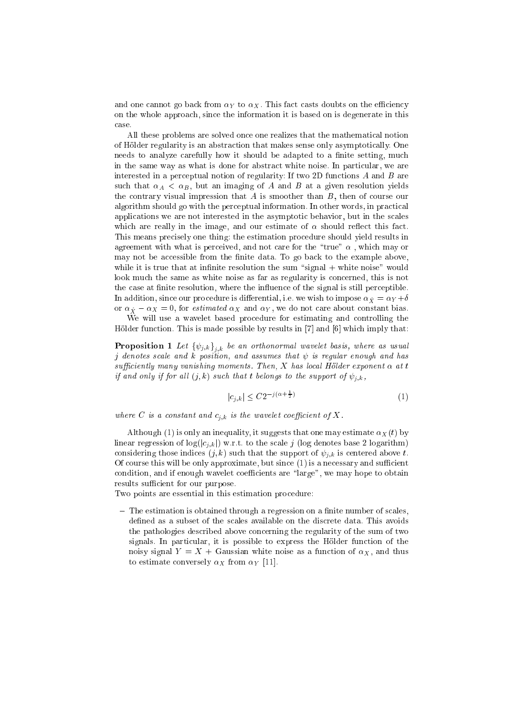and one cannot go back from  $\alpha_Y$  to  $\alpha_X$ . This fact casts doubts on the efficiency on the whole approach, since the information it is based on is degenerate in this case

All these problems are solved once one realizes that the mathematical notion of Holder regularity is an abstraction that makes sense only asymptotically. One needs to analyze carefully how it should be adapted to a finite setting, much in the same way as what is done for abstract white noise. In particular, we are interested in a perceptual notion of regularity: If two 2D functions  $A$  and  $B$  are such that  $\alpha_A < \alpha_B$ , but an imaging of A and B at a given resolution yields the contrary visual impression that  $A$  is smoother than  $B$ , then of course our algorithm should go with the perceptual information. In other words, in practical applications we are not interested in the asymptotic behavior, but in the scales which are really in the image, and our estimate of  $\alpha$  should reflect this fact. This means precisely one thing: the estimation procedure should yield results in agreement with what is perceived, and not care for the "true"  $\alpha$ , which may or may not be accessible from the finite data. To go back to the example above, while it is true that at infinite resolution the sum "signal  $+$  white noise" would look much the same as white noise as far as regularity is concerned, this is not the case at finite resolution, where the influence of the signal is still perceptible. In addition, since our procedure is differential, i.e. we wish to impose  $\alpha_{\hat{X}} = \alpha_Y + \delta$ or  $\alpha_{\hat X} - \alpha_X =$  0, for *estimated*  $\alpha_X$  *and*  $\alpha_Y,$  *we do not care about constant bias.* 

We will use a wavelet based procedure for estimating and controlling the Hölder function. This is made possible by results in  $[7]$  and  $[6]$  which imply that:

**Proposition 1** Let  $\{\psi_{j,k}\}_{j,k}$  be an orthonormal wavelet basis, where as usual j denotes scale and k position, and assumes that  $\psi$  is regular enough and has sufficiently many vanishing moments. Then, X has local Hölder exponent  $\alpha$  at t if and only if for all  $(j, k)$  such that t belongs to the support of  $\psi_{j,k}$ ,

$$
|c_{j,k}| \le C2^{-j(\alpha + \frac{1}{2})} \tag{1}
$$

where C is a constant and  $c_{i,k}$  is the wavelet coefficient of X.

Although (1) is only an inequality, it suggests that one may estimate  $\alpha_X(t)$  by linear regression of  $log(|c_{i,k}|)$  w.r.t. to the scale j (log denotes base 2 logarithm) considering those indices  $(j, k)$  such that the support of  $\psi_{j,k}$  is centered above t. Of course this will be only approximate, but since  $(1)$  is a necessary and sufficient condition, and if enough wavelet coefficients are "large", we may hope to obtain results sufficient for our purpose.

Two points are essential in this estimation procedure:

 $-$  The estimation is obtained through a regression on a finite number of scales, defined as a subset of the scales available on the discrete data. This avoids the pathologies described above concerning the regularity of the sum of two signals. In particular, it is possible to express the Holder function of the noisy signal  $Y = X +$  Gaussian white noise as a function of  $\alpha_X$ , and thus to estimate conversely  $\alpha_X$  from  $\alpha_Y$  [11].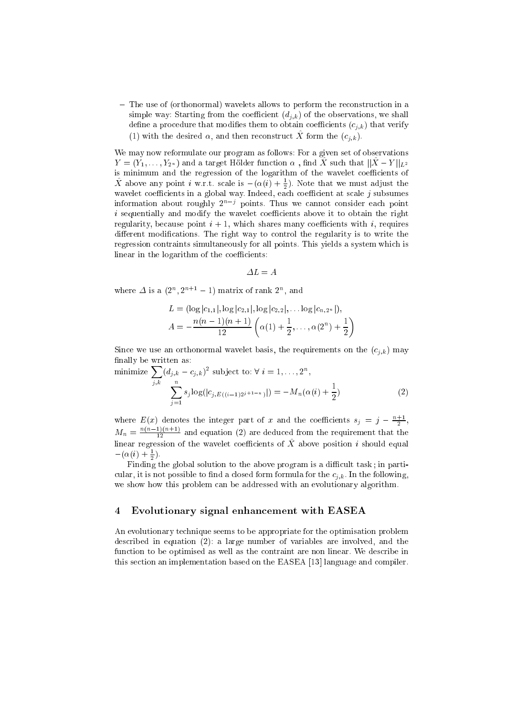{ The use of (orthonormal) wavelets allows to perform the reconstruction in a simple way: Starting from the coefficient  $(d_{j,k})$  of the observations, we shall define a procedure that modifies them to obtain coefficients  $(c_{j,k})$  that verify (1) with the desired  $\alpha$ , and then reconstruct X form the  $(c_{i,k})$ .

We may now reformulate our program as follows: For a given set of observations  $Y = (Y_1, \ldots, Y_{2^n})$  and a target Hölder function  $\alpha$ , find  $\hat{X}$  such that  $\|\hat{X} - Y\|_{L^2}$ is minimum and the regression of the logarithm of the wavelet coefficients of X above any point i w.r.t. scale is  $-(\alpha(i) + \frac{1}{2})$ . Note that we must adjust the wavelet coefficients in a global way. Indeed, each coefficient at scale  $j$  subsumes information about roughly 2nj points. Thus we cannot consider each point  $i$  sequentially and modify the wavelet coefficients above it to obtain the right regularity, because point  $i + 1$ , which shares many coefficients with i, requires different modifications. The right way to control the regularity is to write the regression contraints simultaneously for all points. This yields a system which is linear in the logarithm of the coefficients:

$$
\varDelta L = A
$$

where  $\Delta$  is a  $(2^n, 2^{n+1} - 1)$  matrix of rank  $2^n$ , and

$$
L = (\log |c_{1,1}|, \log |c_{2,1}|, \log |c_{2,2}|, \ldots \log |c_{n,2^n}|),
$$
  

$$
A = -\frac{n(n-1)(n+1)}{12} \left( \alpha(1) + \frac{1}{2}, \ldots, \alpha(2^n) + \frac{1}{2} \right)
$$

Since we use an orthonormal wavelet basis, the requirements on the  $(c_{j,k})$  may finally be written as:

minimize 
$$
\sum_{j,k} (d_{j,k} - c_{j,k})^2
$$
 subject to:  $\forall i = 1, ..., 2^n$ ,  
\n
$$
\sum_{j=1}^n s_j \log(|c_{j,E((i-1)2^{j+1-n})}|) = -M_n(\alpha(i) + \frac{1}{2})
$$
\n(2)

where  $E(x)$  denotes the integer part of x and the coefficients  $s_j = j - \frac{n+1}{2}$ ,  $M_n = \frac{n(n-1)(n+1)}{12}$  and equation (2) are deduced from the requirement that the linear regression of the wavelet coefficients of  $\hat{X}$  above position i should equal  $-(\alpha(i) + \frac{1}{2}).$ 

Finding the global solution to the above program is a dicult task ; in particular, it is not possible to find a closed form formula for the  $c_{i,k}$ . In the following, we show how this problem can be addressed with an evolutionary algorithm.

#### $\overline{4}$ 4 Evolutionary signal enhancement with EASEA

An evolutionary technique seems to be appropriate for the optimisation problem described in equation (2): a large number of variables are involved, and the function to be optimised as well as the contraint are non linear. We describe in this section an implementation based on the EASEA [13] language and compiler.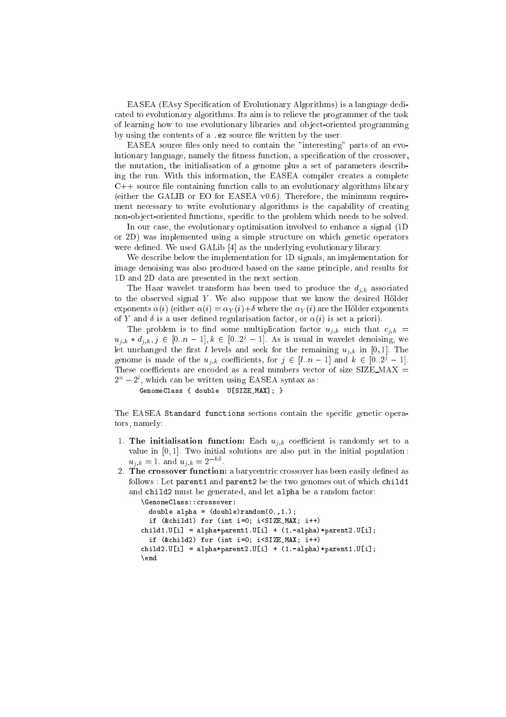EASEA (EAsy Specication of Evolutionary Algorithms) is a language dedicated to evolutionary algorithms. Its aim is to relieve the programmer of the task of learning how to use evolutionary libraries and ob ject-oriented programming by using the contents of a .ez source file written by the user.

EASEA source files only need to contain the "interesting" parts of an evolutionary language, namely the fitness function, a specification of the crossover, the mutation, the initialisation of a genome plus a set of parameters describing the run. With this information, the EASEA compiler creates a complete  $C++$  source file containing function calls to an evolutionary algorithms library (either the GALIB or EO for EASEA v0.6). Therefore, the minimum requirement necessary to write evolutionary algorithms is the capability of creating non-object-oriented functions, specific to the problem which needs to be solved.

In our case, the evolutionary optimisation involved to enhance a signal (1D or 2D) was implemented using a simple structure on which genetic operators were defined. We used GALib [4] as the underlying evolutionary library.

We describe below the implementation for 1D signals, an implementation for image denoising was also produced based on the same principle, and results for 1D and 2D data are presented in the next section.

The Haar wavelet transform has been used to produce the  $d_{j,k}$  associated to the observed signal  $Y$ . We also suppose that we know the desired Hölder exponents  $\alpha(i)$  (either  $\alpha(i) = \alpha_Y(i) + \delta$  where the  $\alpha_Y(i)$  are the Hölder exponents of Y and  $\delta$  is a user defined regularisation factor, or  $\alpha(i)$  is set a priori).

The problem is to find some multiplication factor  $u_{j,k}$  such that  $c_{j,k}$  =  $u_{j,k} * d_{j,k}, j \in [0..n-1], k \in [0..2^j-1].$  As is usual in wavelet denoising, we let unchanged the first *l* levels and seek for the remaining  $u_{j,k}$  in [0, 1]. The genome is made of the  $u_{j,k}$  coefficients, for  $j \in [l..n-1]$  and  $k \in [0..2^j-1]$ . These coefficients are encoded as a real numbers vector of size SIZE\_MAX  $=$  $2\alpha - 2$  , which can be written using EASEA syntax as :

GenomeClass { double U[SIZE\_MAX]; }

The EASEA Standard functions sections contain the specific genetic operators, namely:

- 1. The initialisation function: Each  $u_{j,k}$  coefficient is randomly set to a value in  $[0, 1]$ . Two initial solutions are also put in the initial population:  $u_{j,k} = 1$  and  $u_{j,k} = 2$  .
- 2. The crossover function: a barycentric crossover has been easily defined as follows : Let parent1 and parent2 be the two genomes out of which child1 and child2 must be generated, and let alpha be a random factor:

```
\GenomeClass::crossover:
  double alpha = (double) random(0., 1.);if (&child1) for (int i=0; i<SIZE_MAX; i++)
child1.U[i] = alpha*parent1.U[i] + (1.-alpha)*parent2.U[i];
  if (&child2) for (int i=0; i<SIZE_MAX; i++)
child2.U[i] = alpha*parent2.U[i] + (1.-alpha)*parent1.U[i];
\end
\blacksquare
```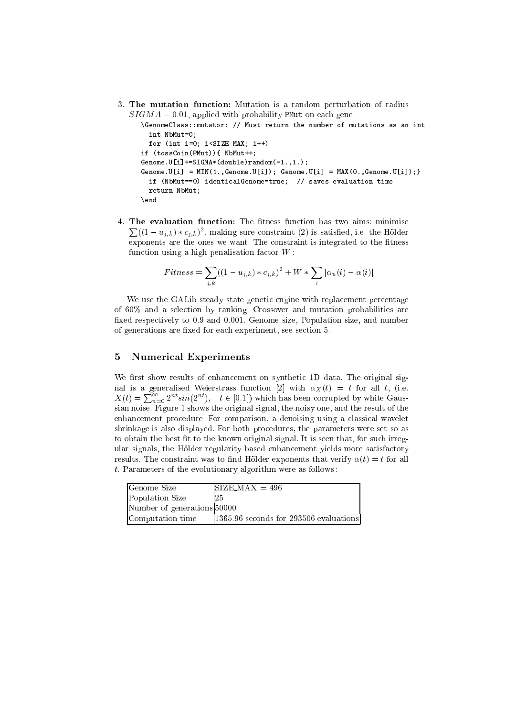3. The mutation function: Mutation is a random perturbation of radius  $SIGMA = 0.01$ , applied with probability PMut on each gene.

```
\GenomeClass::mutator: // Must return the number of mutations as an int
  int NbMut=0;
 for (int i=0; i<SIZE_MAX; i++)
if (tossCoin(PMut)){ NbMut++;
Genome.U[i]+=SIGMA*(double)random(-1.,1.);
Genome.U[i] = MIN(1., Genome.U[i]); Genome.U[i] = MAX(0., Genome.U[i]); }
  if (NbMut==0) identicalGenome=true; // saves evaluation time
  return NbMut;
\end
```
4. The evaluation function: The fitness function has two aims: minimise  $\sum((1-u_{j,k}) * c_{j,k})^2$ , making sure constraint (2) is satisfied, i.e. the Hölder exponents are the ones we want. The constraint is integrated to the fitness function using a high penalisation factor  $W$ :

$$
Fitness = \sum_{j,k} ((1 - u_{j,k}) * c_{j,k})^{2} + W * \sum_{i} |\alpha_{u}(i) - \alpha(i)|
$$

We use the GALib steady state genetic engine with replacement percentage of 60% and a selection by ranking. Crossover and mutation probabilities are fixed respectively to 0.9 and 0.001. Genome size, Population size, and number of generations are fixed for each experiment, see section 5.

# 5 Numerical Experiments

We first show results of enhancement on synthetic 1D data. The original signal is a generalised Weierstrass function [2] with  $\alpha_X(t) = t$  for all t, (i.e.  $X(t) = \sum_{n=0}^{\infty} 2^{nt} sin(2^{nt}), \quad t \in [0.1]$  which has been corrupted by white Gaussian noise. Figure 1 shows the original signal, the noisy one, and the result of the enhancement procedure. For comparison, a denoising using a classical wavelet shrinkage is also displayed. For both procedures, the parameters were set so as to obtain the best fit to the known original signal. It is seen that, for such irregular signals, the Holder regularity based enhancement yields more satisfactory results. The constraint was to find Hölder exponents that verify  $\alpha(t) = t$  for all t. Parameters of the evolutionary algorithm were as follows :

| <b>Genome Size</b>          | $ISIZE\_MAX = 496$                       |
|-----------------------------|------------------------------------------|
| Population Size             | 125                                      |
| Number of generations 50000 |                                          |
| Computation time            | [1365.96 seconds for 293506 evaluations] |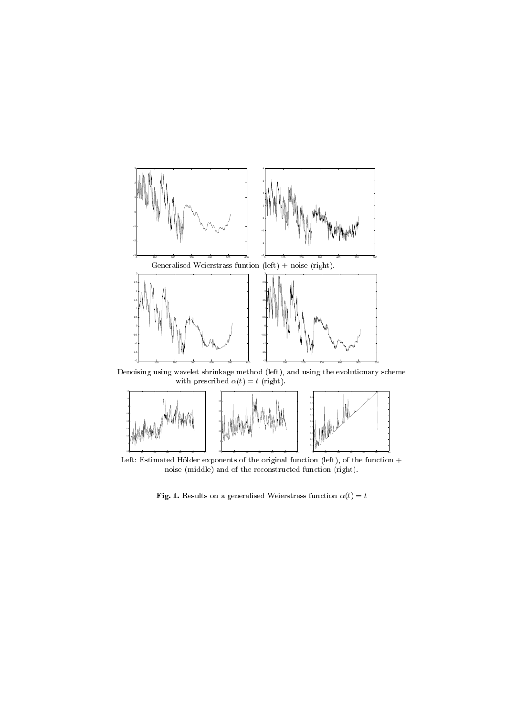

Left: Estimated Hölder exponents of the original function (left), of the function  $+$ noise (middle) and of the reconstructed function (right).

**Fig. 1.** Results on a generalised Weierstrass function  $\alpha(t) = t$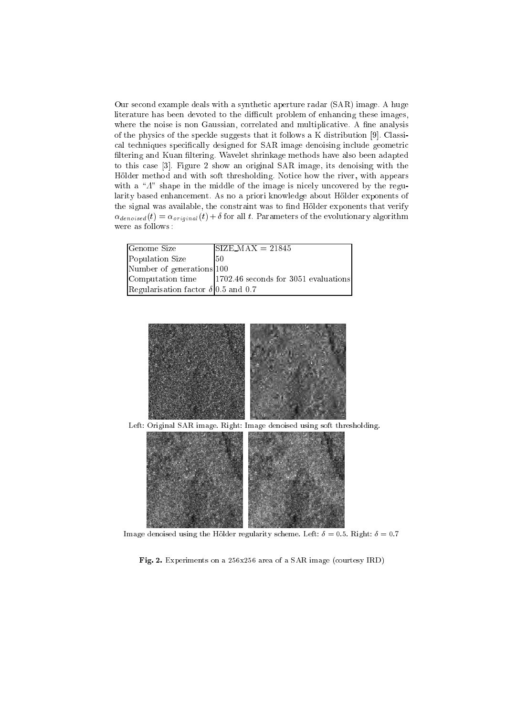Our second example deals with a synthetic aperture radar (SAR) image. A huge literature has been devoted to the difficult problem of enhancing these images, where the noise is non Gaussian, correlated and multiplicative. A fine analysis of the physics of the speckle suggests that it follows a K distribution [9]. Classical techniques specically designed for SAR image denoising include geometric filtering and Kuan filtering. Wavelet shrinkage methods have also been adapted to this case [3]. Figure 2 show an original SAR image, its denoising with the Hölder method and with soft thresholding. Notice how the river, with appears with a " $\Lambda$ " shape in the middle of the image is nicely uncovered by the regularity based enhancement. As no a priori knowledge about Hölder exponents of the signal was available, the constraint was to find Hölder exponents that verify  $\alpha_{denoised}(t) = \alpha_{original}(t) + \delta$  for all t. Parameters of the evolutionary algorithm were as follows :

| <b>Genome Size</b>                         | $\text{SIZE}\_\text{MAX} = 21845$            |
|--------------------------------------------|----------------------------------------------|
| Population Size                            | -50                                          |
| Number of generations 100                  |                                              |
| Computation time                           | $\vert$ 1702.46 seconds for 3051 evaluations |
| Regularisation factor $\delta$ 0.5 and 0.7 |                                              |



Image denoised using the Hölder regularity scheme. Left:  $\delta = 0.5$ . Right:  $\delta = 0.7$ 

Fig. 2. Experiments on a 256x256 area of a SAR image (courtesy IRD)